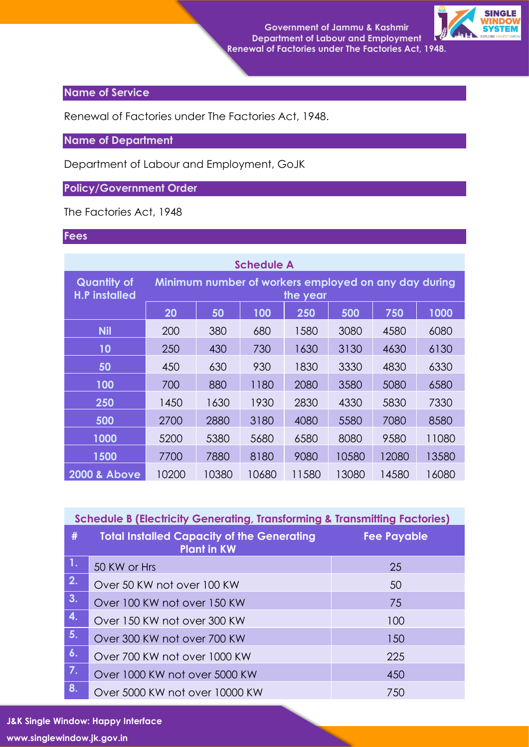

## **Name of Service**

Renewal of Factories under The Factories Act, 1948.

## **Name of Department**

Department of Labour and Employment, GoJK

## **Policy/Government Order**

The Factories Act, 1948

## **Fees**

| <b>Schedule A</b>                          |                                                                  |       |       |       |       |       |       |  |  |  |
|--------------------------------------------|------------------------------------------------------------------|-------|-------|-------|-------|-------|-------|--|--|--|
| <b>Quantity of</b><br><b>H.P installed</b> | Minimum number of workers employed on any day during<br>the year |       |       |       |       |       |       |  |  |  |
|                                            | 20                                                               | 50    | 100   | 250   | 500   | 750   | 1000  |  |  |  |
| <b>Nil</b>                                 | 200                                                              | 380   | 680   | 1580  | 3080  | 4580  | 6080  |  |  |  |
| 10                                         | 250                                                              | 430   | 730   | 1630  | 3130  | 4630  | 6130  |  |  |  |
| 50                                         | 450                                                              | 630   | 930   | 1830  | 3330  | 4830  | 6330  |  |  |  |
| 100                                        | 700                                                              | 880   | 1180  | 2080  | 3580  | 5080  | 6580  |  |  |  |
| 250                                        | 1450                                                             | 1630  | 1930  | 2830  | 4330  | 5830  | 7330  |  |  |  |
| 500                                        | 2700                                                             | 2880  | 3180  | 4080  | 5580  | 7080  | 8580  |  |  |  |
| 1000                                       | 5200                                                             | 5380  | 5680  | 6580  | 8080  | 9580  | 11080 |  |  |  |
| 1500                                       | 7700                                                             | 7880  | 8180  | 9080  | 10580 | 12080 | 13580 |  |  |  |
| <b>2000 &amp; Above</b>                    | 10200                                                            | 10380 | 10680 | 11580 | 13080 | 14580 | 16080 |  |  |  |

| <b>Schedule B (Electricity Generating, Transforming &amp; Transmitting Factories)</b> |                                                                         |                    |  |  |  |
|---------------------------------------------------------------------------------------|-------------------------------------------------------------------------|--------------------|--|--|--|
| #                                                                                     | <b>Total Installed Capacity of the Generating</b><br><b>Plant in KW</b> | <b>Fee Payable</b> |  |  |  |
| $\overline{1}$ .                                                                      | 50 KW or Hrs                                                            | 25                 |  |  |  |
| 2.                                                                                    | Over 50 KW not over 100 KW                                              | 50                 |  |  |  |
| 3.                                                                                    | Over 100 KW not over 150 KW                                             | 75                 |  |  |  |
| 4.                                                                                    | Over 150 KW not over 300 KW                                             | 100                |  |  |  |
| 5.                                                                                    | Over 300 KW not over 700 KW                                             | 150                |  |  |  |
| 6.                                                                                    | Over 700 KW not over 1000 KW                                            | 225                |  |  |  |
| 7.                                                                                    | Over 1000 KW not over 5000 KW                                           | 450                |  |  |  |
| 8.                                                                                    | Over 5000 KW not over 10000 KW                                          | 750                |  |  |  |

**J&K Single Window: Happy Interface**

**www.singlewindow.jk.gov.in**